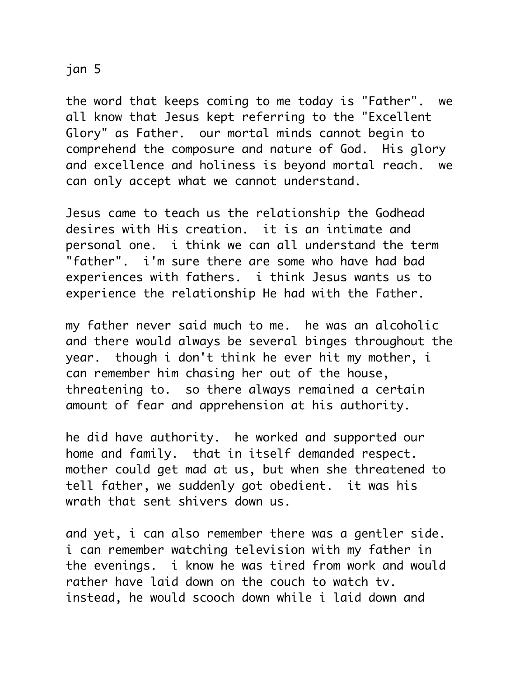## jan 5

the word that keeps coming to me today is "Father". we all know that Jesus kept referring to the "Excellent Glory" as Father. our mortal minds cannot begin to comprehend the composure and nature of God. His glory and excellence and holiness is beyond mortal reach. we can only accept what we cannot understand.

Jesus came to teach us the relationship the Godhead desires with His creation. it is an intimate and personal one. i think we can all understand the term "father". i'm sure there are some who have had bad experiences with fathers. i think Jesus wants us to experience the relationship He had with the Father.

my father never said much to me. he was an alcoholic and there would always be several binges throughout the year. though i don't think he ever hit my mother, i can remember him chasing her out of the house, threatening to. so there always remained a certain amount of fear and apprehension at his authority.

he did have authority. he worked and supported our home and family. that in itself demanded respect. mother could get mad at us, but when she threatened to tell father, we suddenly got obedient. it was his wrath that sent shivers down us.

and yet, i can also remember there was a gentler side. i can remember watching television with my father in the evenings. i know he was tired from work and would rather have laid down on the couch to watch tv. instead, he would scooch down while i laid down and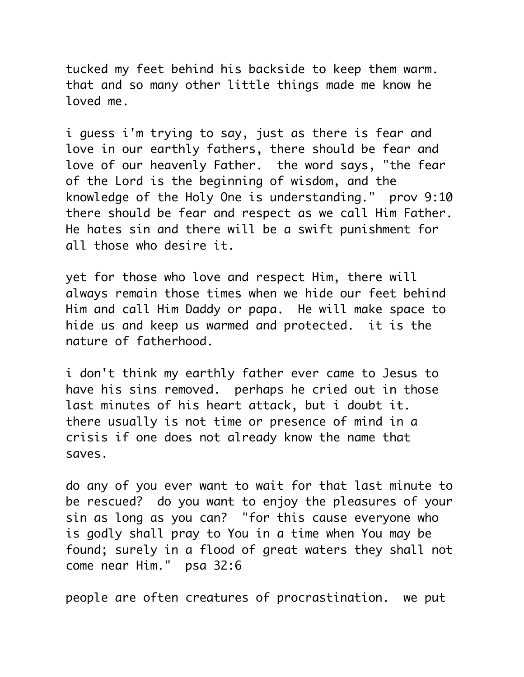tucked my feet behind his backside to keep them warm. that and so many other little things made me know he loved me.

i guess i'm trying to say, just as there is fear and love in our earthly fathers, there should be fear and love of our heavenly Father. the word says, "the fear of the Lord is the beginning of wisdom, and the knowledge of the Holy One is understanding." prov 9:10 there should be fear and respect as we call Him Father. He hates sin and there will be a swift punishment for all those who desire it.

yet for those who love and respect Him, there will always remain those times when we hide our feet behind Him and call Him Daddy or papa. He will make space to hide us and keep us warmed and protected. it is the nature of fatherhood.

i don't think my earthly father ever came to Jesus to have his sins removed. perhaps he cried out in those last minutes of his heart attack, but i doubt it. there usually is not time or presence of mind in a crisis if one does not already know the name that saves.

do any of you ever want to wait for that last minute to be rescued? do you want to enjoy the pleasures of your sin as long as you can? "for this cause everyone who is godly shall pray to You in a time when You may be found; surely in a flood of great waters they shall not come near Him." psa 32:6

people are often creatures of procrastination. we put